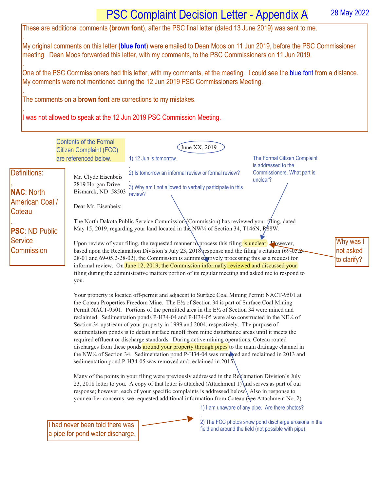## My original comments on this letter **(blue font**) were emailed to Dean Moos on 11 Jun 2019, before the PSC Commissioner

. One of the PSC Commissioners had this letter, with my comments, at the meeting. I could see the blue font from a distance. My comments were not mentioned during the 12 Jun 2019 PSC Commissioners Meeting.

meeting. Dean Moos forwarded this letter, with my comments, to the PSC Commissioners on 11 Jun 2019.

The comments on a **brown font** are corrections to my mistakes.

.

.

.

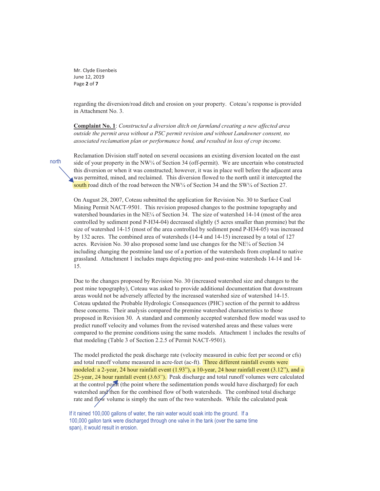Mr. Clyde Eisenbeis June 12, 2019 Page **2** of **7** 

regarding the diversion/road ditch and erosion on your property. Coteau's response is provided in Attachment No. 3.

**Complaint No. 1**: *Constructed a diversion ditch on farmland creating a new affected area outside the permit area without a PSC permit revision and without Landowner consent, no associated reclamation plan or performance bond, and resulted in loss of crop income.*

Reclamation Division staff noted on several occasions an existing diversion located on the east side of your property in the NW $\frac{1}{4}$  of Section 34 (off-permit). We are uncertain who constructed this diversion or when it was constructed; however, it was in place well before the adjacent area was permitted, mined, and reclaimed. This diversion flowed to the north until it intercepted the south road ditch of the road between the NW $\frac{1}{4}$  of Section 34 and the SW $\frac{1}{4}$  of Section 27.

On August 28, 2007, Coteau submitted the application for Revision No. 30 to Surface Coal Mining Permit NACT-9501. This revision proposed changes to the postmine topography and watershed boundaries in the NE<sup> $\chi$ </sup> of Section 34. The size of watershed 14-14 (most of the area controlled by sediment pond P-H34-04) decreased slightly (5 acres smaller than premine) but the size of watershed 14-15 (most of the area controlled by sediment pond P-H34-05) was increased by 132 acres. The combined area of watersheds (14-4 and 14-15) increased by a total of 127 acres. Revision No. 30 also proposed some land use changes for the NE¼ of Section 34 including changing the postmine land use of a portion of the watersheds from cropland to native grassland. Attachment 1 includes maps depicting pre- and post-mine watersheds 14-14 and 14- 15.

Due to the changes proposed by Revision No. 30 (increased watershed size and changes to the post mine topography), Coteau was asked to provide additional documentation that downstream areas would not be adversely affected by the increased watershed size of watershed 14-15. Coteau updated the Probable Hydrologic Consequences (PHC) section of the permit to address these concerns. Their analysis compared the premine watershed characteristics to those proposed in Revision 30. A standard and commonly accepted watershed flow model was used to predict runoff velocity and volumes from the revised watershed areas and these values were compared to the premine conditions using the same models. Attachment 1 includes the results of that modeling (Table 3 of Section 2.2.5 of Permit NACT-9501).

The model predicted the peak discharge rate (velocity measured in cubic feet per second or cfs) and total runoff volume measured in acre-feet (ac-ft). Three different rainfall events were and total runoff volume measured in acre-feet (ac-ft). Three different rainfall events were<br>modeled: a 2-year, 24 hour rainfall event (1.93"), a 10-year, 24 hour rainfall event (3.12"), and a 25-year, 24 hour rainfall event (3.63"). Peak discharge and total runoff volumes were calculated at the control point (the point where the sedimentation ponds would have discharged) for each watershed and then for the combined flow of both watersheds. The combined total discharge rate and flow volume is simply the sum of the two watersheds. While the calculated peak

If it rained 100,000 gallons of water, the rain water would soak into the ground. If a 100,000 gallon tank were discharged through one valve in the tank (over the same time span), it would result in erosion.

north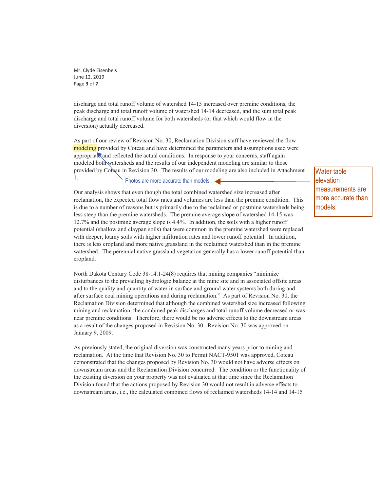Mr. Clyde Eisenbeis June 12, 2019 Page **3** of **7** 

discharge and total runoff volume of watershed 14-15 increased over premine conditions, the peak discharge and total runoff volume of watershed 14-14 decreased, and the sum total peak discharge and total runoff volume for both watersheds (or that which would flow in the diversion) actually decreased.

As part of our review of Revision No. 30, Reclamation Division staff have reviewed the flow modeling provided by Coteau and have determined the parameters and assumptions used were appropriate and reflected the actual conditions. In response to your concerns, staff again modeled both watersheds and the results of our independent modeling are similar to those provided by Coteau in Revision 30. The results of our modeling are also included in Attachment 1.

Photos are more accurate than models.

Our analysis shows that even though the total combined watershed size increased after reclamation, the expected total flow rates and volumes are less than the premine condition. This is due to a number of reasons but is primarily due to the reclaimed or postmine watersheds being less steep than the premine watersheds. The premine average slope of watershed 14-15 was 12.7% and the postmine average slope is 4.4%. In addition, the soils with a higher runoff potential (shallow and claypan soils) that were common in the premine watershed were replaced with deeper, loamy soils with higher infiltration rates and lower runoff potential. In addition, there is less cropland and more native grassland in the reclaimed watershed than in the premine watershed. The perennial native grassland vegetation generally has a lower runoff potential than cropland.

North Dakota Century Code 38-14.1-24(8) requires that mining companies "minimize disturbances to the prevailing hydrologic balance at the mine site and in associated offsite areas and to the quality and quantity of water in surface and ground water systems both during and after surface coal mining operations and during reclamation." As part of Revision No. 30, the Reclamation Division determined that although the combined watershed size increased following mining and reclamation, the combined peak discharges and total runoff volume decreased or was near premine conditions. Therefore, there would be no adverse effects to the downstream areas as a result of the changes proposed in Revision No. 30. Revision No. 30 was approved on January 9, 2009.

As previously stated, the original diversion was constructed many years prior to mining and reclamation. At the time that Revision No. 30 to Permit NACT-9501 was approved, Coteau demonstrated that the changes proposed by Revision No. 30 would not have adverse effects on downstream areas and the Reclamation Division concurred. The condition or the functionality of the existing diversion on your property was not evaluated at that time since the Reclamation Division found that the actions proposed by Revision 30 would not result in adverse effects to downstream areas, i.e., the calculated combined flows of reclaimed watersheds 14-14 and 14-15

Water table elevation measurements are more accurate than models.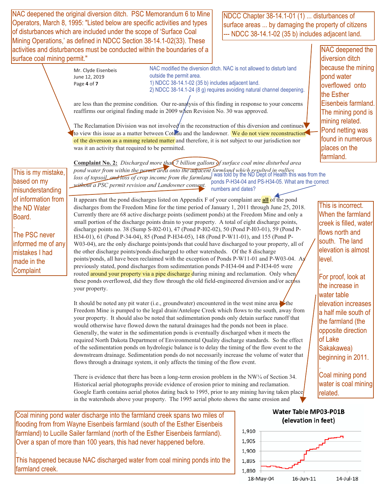NAC deepened the original diversion ditch. PSC Memorandum 6 to Mine Operators, March 8, 1995: "Listed below are specific activities and types of disturbances which are included under the scope of 'Surface Coal Mining Operations,' as defined in NDCC Section 38-14.1-02(33). These activities and disturbances must be conducted within the boundaries of a surface coal mining permit."

NDCC Chapter 38-14.1-01 (1) ... disturbances of surface areas ... by damaging the property of citizens --- NDCC 38-14.1-02 (35 b) includes adjacent land.

Mr. Clyde Eisenbeis June 12, 2019 Page **4** of **7** 

NAC modified the diversion ditch. NAC is not allowed to disturb land outside the permit area. 1) NDCC 38-14.1-02 (35 b) includes adjacent land. 2) NDCC 38-14.1-24 (8 g) requires avoiding natural channel deepening.

are less than the premine condition. Our re-analysis of this finding in response to your concerns reaffirms our original finding made in 2009 when Revision No. 30 was approved.

The Reclamation Division was not involved in the reconstruction of this diversion and continues to view this issue as a matter between Coteau and the landowner. We do not view reconstruction of the diversion as a mining related matter and therefore, it is not subject to our jurisdiction nor was it an activity that required to be permitted.

NAC deepened the diversion ditch because the mining pond water overflowed onto the Esther Eisenbeis farmland. The mining pond is mining related. Pond netting was found in numerous places on the farmland.

This is incorrect. When the farmland creek is filled, water flows north and south. The land elevation is almost

For proof, look at the increase in water table

elevation increases a half mile south of the farmland (the opposite direction

Coal mining pond water is coal mining

level. .

of Lake Sakakawea) beginning in 2011.

related.

.

This is my mistake, based on my misunderstanding of information from the ND Water Board.

The PSC never informed me of any mistakes I had made in the **Complaint** 

.

.

**Complaint No. 2:** *Discharged more than 7 billion gallons of surface coal mine disturbed area pond water from within the permit area onto the adjacent farmland which resulted in gullies,*  loss of topsoil, and loss of crop income from the farmland (impact of permit area of the permit area of topsoil) *without a PSC permit revision and Landowner consent.*  ponds P-H34-04 and PS-H34-05. What are the correct numbers and dates?

It appears that the pond discharges listed on Appendix F of your complaint are **all** of the pond discharges from the Freedom Mine for the time period of January 1, 2011 through June 25, 2018. Currently there are 68 active discharge points (sediment ponds) at the Freedom Mine and only a small portion of the discharge points drain to your property. A total of eight discharge points, discharge points no. 38 (Sump S-I02-01), 47 (Pond P-I02-02), 50 (Pond P-I03-01), 59 (Pond P-H34-01), 61 (Pond P-34-04), 85 (Pond P-H34-05), 148 (Pond P-W11-01), and 155 (Pond P-W03-04), are the only discharge points/ponds that could have discharged to your property, all of the other discharge points/ponds discharged to other watersheds. Of the 8 discharge points/ponds, all have been reclaimed with the exception of Ponds P-W11-01 and P-W03-04. As previously stated, pond discharges from sedimentation ponds P-H34-04 and P-H34-05 were routed around your property via a pipe discharge during mining and reclamation. Only when these ponds overflowed, did they flow through the old field-engineered diversion and/or  $\arccos$ your property.

It should be noted any pit water (i.e., groundwater) encountered in the west mine area  $\bullet$  the Freedom Mine is pumped to the legal drain/Antelope Creek which flows to the south, away from your property. It should also be noted that sedimentation ponds only detain surface runoff that would otherwise have flowed down the natural drainages had the ponds not been in place. Generally, the water in the sedimentation ponds is eventually discharged when it meets the required North Dakota Department of Environmental Quality discharge standards. So the effect of the sedimentation ponds on hydrologic balance is to delay the timing of the flow event to the downstream drainage. Sedimentation ponds do not necessarily increase the volume of water that flows through a drainage system, it only affects the timing of the flow event.

There is evidence that there has been a long-term erosion problem in the NW¼ of Section 34. Historical aerial photographs provide evidence of erosion prior to mining and reclamation. Google Earth contains aerial photos dating back to 1995, prior to any mining having taken place in the watersheds above your property. The 1995 aerial photo shows the same erosion and

Coal mining pond water discharge into the farmland creek spans two miles of flooding from from Wayne Eisenbeis farmland (south of the Esther Eisenbeis farmland) to Lucille Sailer farmland (north of the Esther Eisenbeis farmland). Over a span of more than 100 years, this had never happened before.

This happened because NAC discharged water from coal mining ponds into the farmland creek.

## **Water Table MP03-P01B** (elevation in feet)

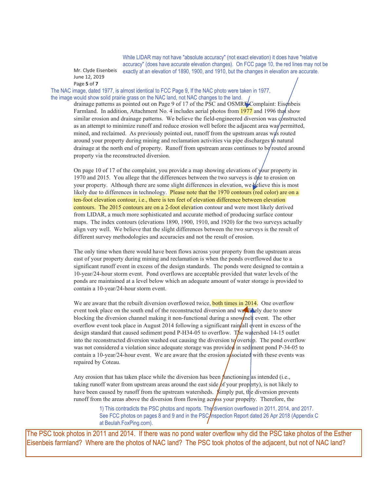While LIDAR may not have "absolute accuracy" (not exact elevation) it does have "relative accuracy" (does have accurate elevation changes). On FCC page 10, the red lines may not be exactly at an elevation of 1890, 1900, and 1910, but the changes in elevation are accurate.

Mr. Clyde Eisenbeis June 12, 2019 Page **5** of **7** 

The NAC image, dated 1977, is almost identical to FCC Page 9, If the NAC photo were taken in 1977, the image would show solid prairie grass on the NAC land, not NAC changes to the land.

drainage patterns as pointed out on Page 9 of 17 of the PSC and OSMRF Complaint: Eisenbeis Farmland. In addition, Attachment No. 4 includes aerial photos from 1977 and 1996 that show similar erosion and drainage patterns. We believe the field-engineered diversion was constructed as an attempt to minimize runoff and reduce erosion well before the adjacent area was permitted, mined, and reclaimed. As previously pointed out, runoff from the upstream areas was routed around your property during mining and reclamation activities via pipe discharges to natural drainage at the north end of property. Runoff from upstream areas continues to be routed around property via the reconstructed diversion.

On page 10 of 17 of the complaint, you provide a map showing elevations of  $\sqrt{\omega}$  property in 1970 and 2015. You allege that the differences between the two surveys is due to erosion on your property. Although there are some slight differences in elevation, we believe this is most likely due to differences in technology. Please note that the 1970 contours (red color) are on a ten-foot elevation contour, i.e., there is ten feet of elevation difference between elevation ten-foot elevation contour, i.e., there is ten feet of elevation difference between elevation<br>contours. The 2015 contours are on a 2-foot elevation contour and were most likely derived from LIDAR, a much more sophisticated and accurate method of producing surface contour maps. The index contours (elevations 1890, 1900, 1910, and 1920) for the two surveys actually align very well. We believe that the slight differences between the two surveys is the result of different survey methodologies and accuracies and not the result of erosion.

The only time when there would have been flows across your property from the upstream areas east of your property during mining and reclamation is when the ponds overflowed due to a significant runoff event in excess of the design standards. The ponds were designed to contain a 10-year/24-hour storm event. Pond overflows are acceptable provided that water levels of the ponds are maintained at a level below which an adequate amount of water storage is provided to contain a 10-year/24-hour storm event.

We are aware that the rebuilt diversion overflowed twice, **both times in 2014.** One overflow event took place on the south end of the reconstructed diversion and was likely due to snow blocking the diversion channel making it non-functional during a snow*mel* event. The other overflow event took place in August 2014 following a significant rainfall event in excess of the design standard that caused sediment pond P-H34-05 to overflow. The watershed 14-15 outlet into the reconstructed diversion washed out causing the diversion to overtop. The pond overflow was not considered a violation since adequate storage was provided in sediment pond  $P-34-05$  to contain a 10-year/24-hour event. We are aware that the erosion as sociated with these events was repaired by Coteau.

Any erosion that has taken place while the diversion has been functioning as intended (i.e., taking runoff water from upstream areas around the east side  $\beta$ f your property), is not likely to have been caused by runoff from the upstream watersheds. **S**imply put, the diversion prevents runoff from the areas above the diversion from flowing across your property. Therefore, the

> 1) This contradicts the PSC photos and reports. The diversion overflowed in 2011, 2014, and 2017. See FCC photos on pages 8 and 9 and in the PSC/Inspection Report dated 26 Apr 2018 (Appendix C at Beulah.FoxPing.com).

The PSC took photos in 2011 and 2014. If there was no pond water overflow why did the PSC take photos of the Esther Eisenbeis farmland? Where are the photos of NAC land? The PSC took photos of the adjacent, but not of NAC land?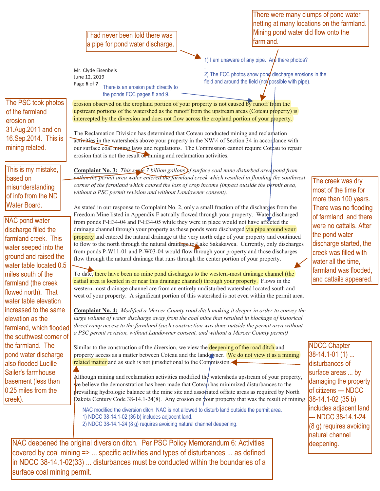II had never been told there was a pipe for pond water discharge.

Mr. Clyde Eisenbeis June 12, 2019 Page **6** of 7

There is an erosion path directly to the ponds FCC pages 8 and 9.

netting at many locations on the farmland. Mining pond water did flow onto the farmland.

There were many clumps of pond water

1) I am unaware of any pipe. Are there photos?

. 2) The FCC photos show pond discharge erosions in the field and around the field (not possible with pipe).

The PSC took photos of the farmland erosion on 31.Aug.2011 and on 16.Sep.2014. This is mining related.

This is my mistake, based on misunderstanding of info from the ND Water Board.

NAC pond water discharge filled the farmland creek. This water seeped into the ground and raised the water table located 0.5 miles south of the farmland (the creek flowed north). That water table elevation increased to the same elevation as the farmland, which flooded the southwest corner of the farmland. The pond water discharge also flooded Lucille Sailer's farmhouse basement (less than 0.25 miles from the creek).

activities in the watersheds above your property in the NW¼ of Section 34 in accordance with our surface coal mining laws and regulations. The Commission cannot require Coteau to repair erosion that is not the result of mining and reclamation activities. **Complaint No. 3:** *This same 7 billion gallons of surface coal mine disturbed area pond from* 

erosion observed on the cropland portion of your property is not caused by runoff from the upstream portions of the watershed as the runoff from the upstream areas (Coteau property) is intercepted by the diversion and does not flow across the cropland portion of your property.

The Reclamation Division has determined that Coteau conducted mining and reclamation

within the permit area water entered the farmland creek which resulted in flooding the southwest *corner of the farmland which caused the loss of crop income (impact outside the permit area, without a PSC permit revision and without Landowner consent).*

As stated in our response to Complaint No. 2, only a small fraction of the discharges from the Freedom Mine listed in Appendix F actually flowed through your property. Water discharged from ponds P-H34-04 and P-H34-05 while they were in place would not have affected the drainage channel through your property as these ponds were discharged via pipe around your property and entered the natural drainage at the very north edge of your property and continued to flow to the north through the natural drainage to Lake Sakakawea. Currently, only discharges from ponds P-W11-01 and P-W03-04 would flow through your property and those discharges flow through the natural drainage that runs through the center portion of your property.

The creek was dry most of the time for more than 100 years. There was no flooding of farmland, and there were no cattails. After the pond water discharge started, the creek was filled with water all the time, farmland was flooded, and cattails appeared.

To date, there have been no mine pond discharges to the western-most drainage channel (the cattail area is located in or near this drainage channel) through your property. Flows in the western-most drainage channel are from an entirely undisturbed watershed located south and west of your property. A significant portion of this watershed is not even within the permit area.

**Complaint No. 4:** *Modified a Mercer County road ditch making it deeper in order to convey the large volume of water discharge away from the coal mine that resulted in blockage of historical direct ramp access to the farmland (such construction was done outside the permit area without a PSC permit revision, without Landowner consent, and without a Mercer County permit)*

Similar to the construction of the diversion, we view the **deepening of the road ditch** and property access as a matter between Coteau and the lando wner. We do not view it as a mining related matter and as such is not jurisdictional to the Commission.

Although mining and reclamation activities modified the watersheds upstream of your property, we believe the demonstration has been made that Coteau has minimized disturbances to the prevailing hydrologic balance at the mine site and associated offsite areas as required by North Dakota Century Code 38-14.1-24(8). Any erosion on your property that was the result of mining

NAC modified the diversion ditch. NAC is not allowed to disturb land outside the permit area. 1) NDCC 38-14.1-02 (35 b) includes adjacent land. 2) NDCC 38-14.1-24 (8 g) requires avoiding natural channel deepening.

NAC deepened the original diversion ditch. Per PSC Policy Memorandum 6: Activities covered by coal mining => ... specific activities and types of disturbances ... as defined in NDCC 38-14.1-02(33) ... disturbances must be conducted within the boundaries of a surface coal mining permit.

NDCC Chapter 38-14.1-01 (1) ... disturbances of surface areas ... by damaging the property of citizens --- NDCC 38-14.1-02 (35 b) includes adjacent land --- NDCC 38-14.1-24 (8 g) requires avoiding natural channel deepening.